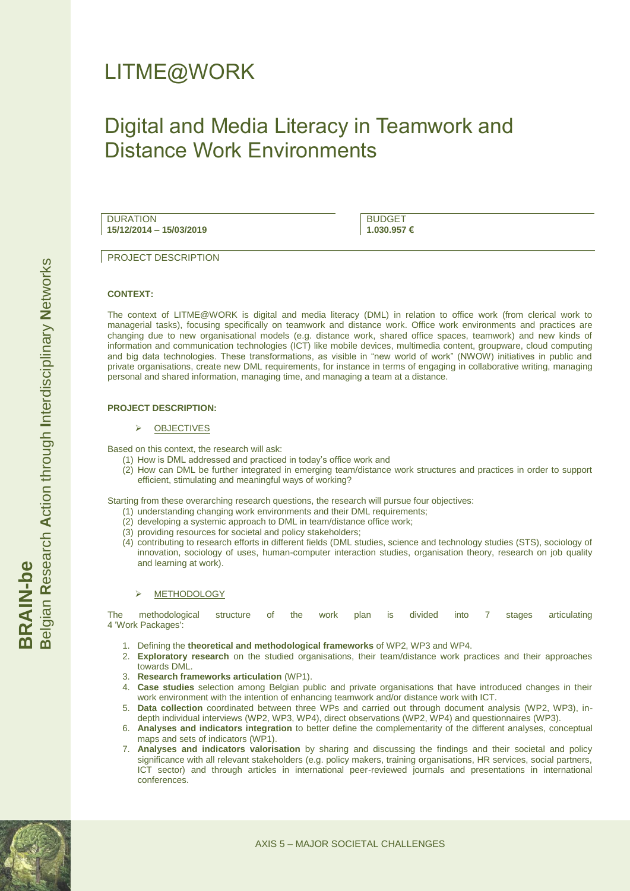# LITME@WORK

# Digital and Media Literacy in Teamwork and Distance Work Environments

DURATION **15/12/2014 – 15/03/2019**

BUDGET **1.030.957 €**

**PROJECT DESCRIPTION** 

# **CONTEXT:**

The context of LITME@WORK is digital and media literacy (DML) in relation to office work (from clerical work to managerial tasks), focusing specifically on teamwork and distance work. Office work environments and practices are changing due to new organisational models (e.g. distance work, shared office spaces, teamwork) and new kinds of information and communication technologies (ICT) like mobile devices, multimedia content, groupware, cloud computing and big data technologies. These transformations, as visible in "new world of work" (NWOW) initiatives in public and private organisations, create new DML requirements, for instance in terms of engaging in collaborative writing, managing personal and shared information, managing time, and managing a team at a distance.

# **PROJECT DESCRIPTION:**

OBJECTIVES

Based on this context, the research will ask:

- (1) How is DML addressed and practiced in today's office work and
- (2) How can DML be further integrated in emerging team/distance work structures and practices in order to support efficient, stimulating and meaningful ways of working?

Starting from these overarching research questions, the research will pursue four objectives:

- (1) understanding changing work environments and their DML requirements;
- (2) developing a systemic approach to DML in team/distance office work;
- (3) providing resources for societal and policy stakeholders;
- (4) contributing to research efforts in different fields (DML studies, science and technology studies (STS), sociology of innovation, sociology of uses, human-computer interaction studies, organisation theory, research on job quality and learning at work).

# METHODOLOGY

The methodological structure of the work plan is divided into 7 stages articulating 4 'Work Packages':

- 1. Defining the **theoretical and methodological frameworks** of WP2, WP3 and WP4.
- 2. **Exploratory research** on the studied organisations, their team/distance work practices and their approaches towards DML.
- 3. **Research frameworks articulation** (WP1).
- 4. **Case studies** selection among Belgian public and private organisations that have introduced changes in their work environment with the intention of enhancing teamwork and/or distance work with ICT.
- 5. **Data collection** coordinated between three WPs and carried out through document analysis (WP2, WP3), indepth individual interviews (WP2, WP3, WP4), direct observations (WP2, WP4) and questionnaires (WP3).
- 6. **Analyses and indicators integration** to better define the complementarity of the different analyses, conceptual maps and sets of indicators (WP1).
- 7. **Analyses and indicators valorisation** by sharing and discussing the findings and their societal and policy significance with all relevant stakeholders (e.g. policy makers, training organisations, HR services, social partners, ICT sector) and through articles in international peer-reviewed journals and presentations in international conferences.